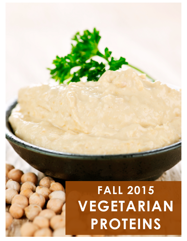## Pure Food Mind & Body | 2015 These statements have not been evaluated by the Food and Drug Administration. This is not intended to diagnose, treat, cure, or prevent any disease. **FALL 2015 VEGETARIAN PROTEINS**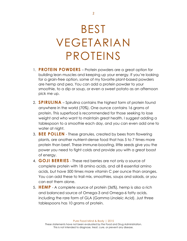## BEST VEGETARIAN PROTEINS

- 1. **PROTEIN POWDERS** Protein powders are a great option for building lean muscles and keeping up your energy. If you're looking for a grain-free option, some of my favorite plant-based powders are hemp and pea. You can add a protein powder to your smoothie, to a dip or soup, or even a sweet potato as an afternoon pick me up.
- 2. **SPIRULINA** Spirulina contains the highest form of protein found anywhere in the world (70%). One ounce contains 16 grams of protein. This superfood is recommended for those seeking to lose weight and who want to maintain great health. I suggest adding a tablespoon to a smoothie each day, and you can even add one to water at night.
- 3. **BEE POLLEN** These granules, created by bees from flowering plants, are another nutrient-dense food that has 5 to 7 times more protein than beef. These immune-boosting, little seeds give you the power you need to fight colds and provide you with a great boost of energy.
- 4. **GOJI BERRIES** These red berries are not only a source of complete protein with 18 amino acids, and all 8 essential amino acids, but have 500 times more vitamin C per ounce than oranges. You can add these to trail mix, smoothies, soups and salads, or you can eat them alone.
- 5. **HEMP** A complete source of protein (36%), hemp is also a rich and balanced source of Omega-3 and Omega-6 fatty acids, including the rare form of GLA (Gamma Linoleic Acid). Just three tablespoons has 10 grams of protein.